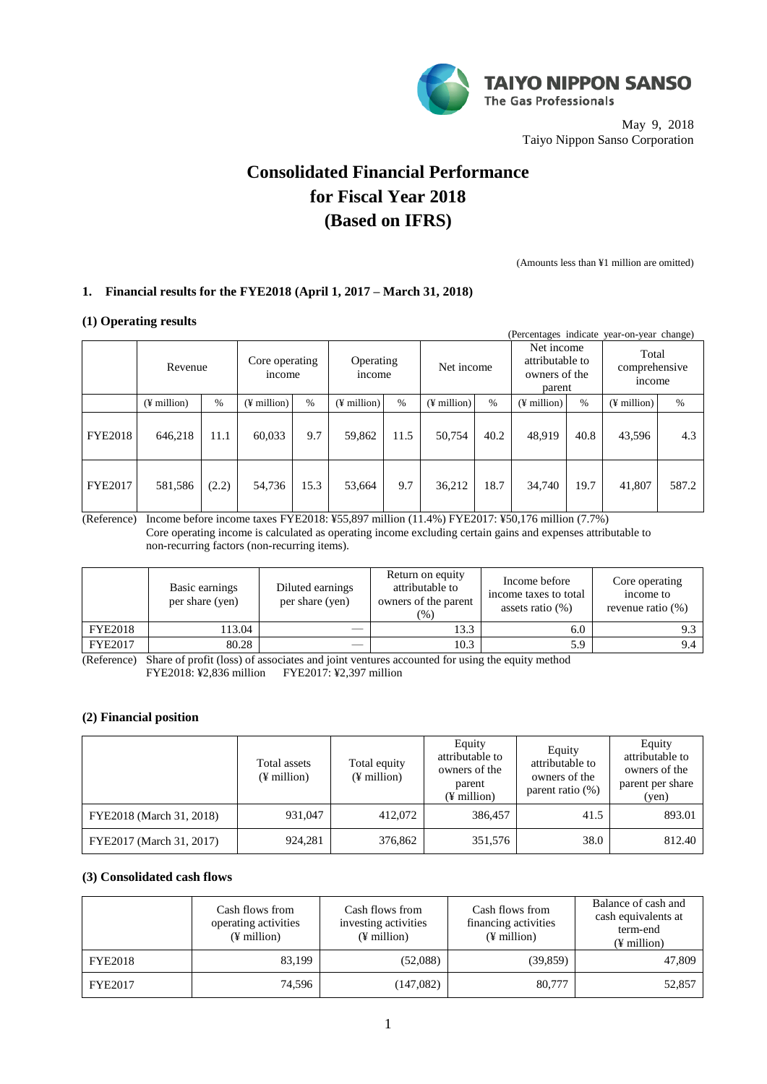

May 9, 2018 Taiyo Nippon Sanso Corporation

# **Consolidated Financial Performance for Fiscal Year 2018 (Based on IFRS)**

(Amounts less than ¥1 million are omitted)

# **1. Financial results for the FYE2018 (April 1, 2017 – March 31, 2018)**

## **(1) Operating results**

|                |                         |       |                          |      |                            |      |                         |      | (Percentages indicate)                                   |      | year-on-year change)             |       |
|----------------|-------------------------|-------|--------------------------|------|----------------------------|------|-------------------------|------|----------------------------------------------------------|------|----------------------------------|-------|
|                | Revenue                 |       | Core operating<br>income |      | Operating<br><i>n</i> come |      | Net income              |      | Net income<br>attributable to<br>owners of the<br>parent |      | Total<br>comprehensive<br>income |       |
|                | $(\frac{1}{2})$ million | $\%$  | $(\frac{1}{2})$ million  | $\%$ | $(\frac{1}{2})$ million    | $\%$ | $(\frac{1}{2})$ million | $\%$ | $(\frac{1}{2})$ million                                  | $\%$ | $(\frac{1}{2})$ million          | $\%$  |
| <b>FYE2018</b> | 646,218                 | 11.1  | 60,033                   | 9.7  | 59,862                     | 11.5 | 50,754                  | 40.2 | 48,919                                                   | 40.8 | 43,596                           | 4.3   |
| <b>FYE2017</b> | 581,586                 | (2.2) | 54,736                   | 15.3 | 53,664                     | 9.7  | 36,212                  | 18.7 | 34,740                                                   | 19.7 | 41,807                           | 587.2 |

(Reference) Income before income taxes FYE2018: ¥55,897 million (11.4%) FYE2017: ¥50,176 million (7.7%) Core operating income is calculated as operating income excluding certain gains and expenses attributable to non-recurring factors (non-recurring items).

|                | Basic earnings<br>per share (yen) | Diluted earnings<br>per share (yen) | Return on equity<br>attributable to<br>owners of the parent<br>$(\% )$ | Income before<br>income taxes to total<br>assets ratio $(\%)$ | Core operating<br>income to<br>revenue ratio $(\%)$ |
|----------------|-----------------------------------|-------------------------------------|------------------------------------------------------------------------|---------------------------------------------------------------|-----------------------------------------------------|
| <b>FYE2018</b> | 13.04                             |                                     | 13.3                                                                   | 6.0                                                           |                                                     |
| <b>FYE2017</b> | 80.28                             |                                     | 10.3                                                                   | 5.9                                                           | 9.4                                                 |

(Reference) Share of profit (loss) of associates and joint ventures accounted for using the equity method FYE2018: ¥2,836 million FYE2017: ¥2,397 million

## **(2) Financial position**

|                          | Total assets<br>$(\frac{1}{2})$ million | Total equity<br>$(\frac{1}{2})$ million | Equity<br>attributable to<br>owners of the<br>parent<br>$(\frac{1}{2})$ million | Equity<br>attributable to<br>owners of the<br>parent ratio $(\%)$ | Equity<br>attributable to<br>owners of the<br>parent per share<br>(ven) |
|--------------------------|-----------------------------------------|-----------------------------------------|---------------------------------------------------------------------------------|-------------------------------------------------------------------|-------------------------------------------------------------------------|
| FYE2018 (March 31, 2018) | 931.047                                 | 412,072                                 | 386,457                                                                         | 41.5                                                              | 893.01                                                                  |
| FYE2017 (March 31, 2017) | 924,281                                 | 376,862                                 | 351,576                                                                         | 38.0                                                              | 812.40                                                                  |

## **(3) Consolidated cash flows**

|                | Cash flows from<br>operating activities<br>$(\frac{1}{2})$ million | Cash flows from<br>investing activities<br>$(\frac{1}{2})$ million | Cash flows from<br>financing activities<br>$(\frac{1}{2})$ million | Balance of cash and<br>cash equivalents at<br>term-end<br>$(\frac{1}{2})$ million |  |
|----------------|--------------------------------------------------------------------|--------------------------------------------------------------------|--------------------------------------------------------------------|-----------------------------------------------------------------------------------|--|
| <b>FYE2018</b> | 83,199                                                             | (52,088)                                                           | (39, 859)                                                          | 47,809                                                                            |  |
| <b>FYE2017</b> | 74,596                                                             | (147,082)                                                          | 80,777                                                             | 52,857                                                                            |  |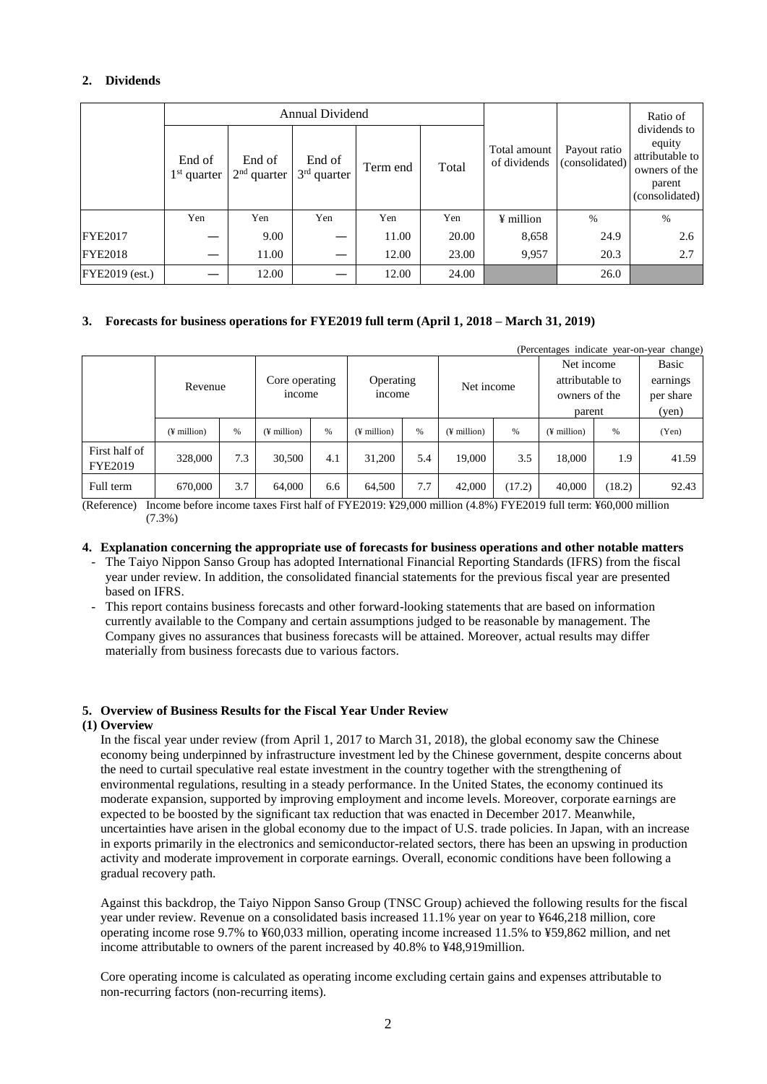# **2. Dividends**

|                       |                         |                         | Annual Dividend         |          |       | Ratio of                     |                                |                                                                                        |
|-----------------------|-------------------------|-------------------------|-------------------------|----------|-------|------------------------------|--------------------------------|----------------------------------------------------------------------------------------|
|                       | End of<br>$1st$ quarter | End of<br>$2nd$ quarter | End of<br>$3rd$ quarter | Term end | Total | Total amount<br>of dividends | Payout ratio<br>(consolidated) | dividends to<br>equity<br>attributable to<br>owners of the<br>parent<br>(consolidated) |
|                       | Yen                     | Yen                     | Yen                     | Yen      | Yen   | ¥ million                    | $\frac{0}{6}$                  | $\%$                                                                                   |
| <b>FYE2017</b>        |                         | 9.00                    |                         | 11.00    | 20.00 | 8,658                        | 24.9                           | 2.6                                                                                    |
| <b>FYE2018</b>        |                         | 11.00                   |                         | 12.00    | 23.00 | 9,957                        | 20.3                           | 2.7                                                                                    |
| <b>FYE2019</b> (est.) |                         | 12.00                   |                         | 12.00    | 24.00 |                              | 26.0                           |                                                                                        |

## **3. Forecasts for business operations for FYE2019 full term (April 1, 2018 – March 31, 2019)**

|                                 |               |     |                          |     |                            |     |                   |        |                                                          |        | (Percentages indicate year-on-year change) |
|---------------------------------|---------------|-----|--------------------------|-----|----------------------------|-----|-------------------|--------|----------------------------------------------------------|--------|--------------------------------------------|
|                                 | Revenue       |     | Core operating<br>income |     | Operating<br><i>n</i> come |     | Net income        |        | Net income<br>attributable to<br>owners of the<br>parent |        | Basic<br>earnings<br>per share<br>(yen)    |
|                                 | $(F$ million) | %   | $(\frac{1}{2})$ million  | %   | $(F$ million)              | %   | $($ ¥ million $)$ | %      | $(\frac{1}{2})$ million                                  | $\%$   | (Yen)                                      |
| First half of<br><b>FYE2019</b> | 328,000       | 7.3 | 30,500                   | 4.1 | 31,200                     | 5.4 | 19.000            | 3.5    | 18.000                                                   | 1.9    | 41.59                                      |
| Full term                       | 670,000       | 3.7 | 64,000                   | 6.6 | 64,500                     | 7.7 | 42,000            | (17.2) | 40,000                                                   | (18.2) | 92.43                                      |

(Reference) Income before income taxes First half of FYE2019: ¥29,000 million (4.8%) FYE2019 full term: ¥60,000 million (7.3%)

## **4. Explanation concerning the appropriate use of forecasts for business operations and other notable matters**

- The Taiyo Nippon Sanso Group has adopted International Financial Reporting Standards (IFRS) from the fiscal year under review. In addition, the consolidated financial statements for the previous fiscal year are presented based on IFRS.
- This report contains business forecasts and other forward-looking statements that are based on information currently available to the Company and certain assumptions judged to be reasonable by management. The Company gives no assurances that business forecasts will be attained. Moreover, actual results may differ materially from business forecasts due to various factors.

## **5. Overview of Business Results for the Fiscal Year Under Review**

## **(1) Overview**

In the fiscal year under review (from April 1, 2017 to March 31, 2018), the global economy saw the Chinese economy being underpinned by infrastructure investment led by the Chinese government, despite concerns about the need to curtail speculative real estate investment in the country together with the strengthening of environmental regulations, resulting in a steady performance. In the United States, the economy continued its moderate expansion, supported by improving employment and income levels. Moreover, corporate earnings are expected to be boosted by the significant tax reduction that was enacted in December 2017. Meanwhile, uncertainties have arisen in the global economy due to the impact of U.S. trade policies. In Japan, with an increase in exports primarily in the electronics and semiconductor-related sectors, there has been an upswing in production activity and moderate improvement in corporate earnings. Overall, economic conditions have been following a gradual recovery path.

Against this backdrop, the Taiyo Nippon Sanso Group (TNSC Group) achieved the following results for the fiscal year under review. Revenue on a consolidated basis increased 11.1% year on year to ¥646,218 million, core operating income rose 9.7% to ¥60,033 million, operating income increased 11.5% to ¥59,862 million, and net income attributable to owners of the parent increased by 40.8% to ¥48,919million.

Core operating income is calculated as operating income excluding certain gains and expenses attributable to non-recurring factors (non-recurring items).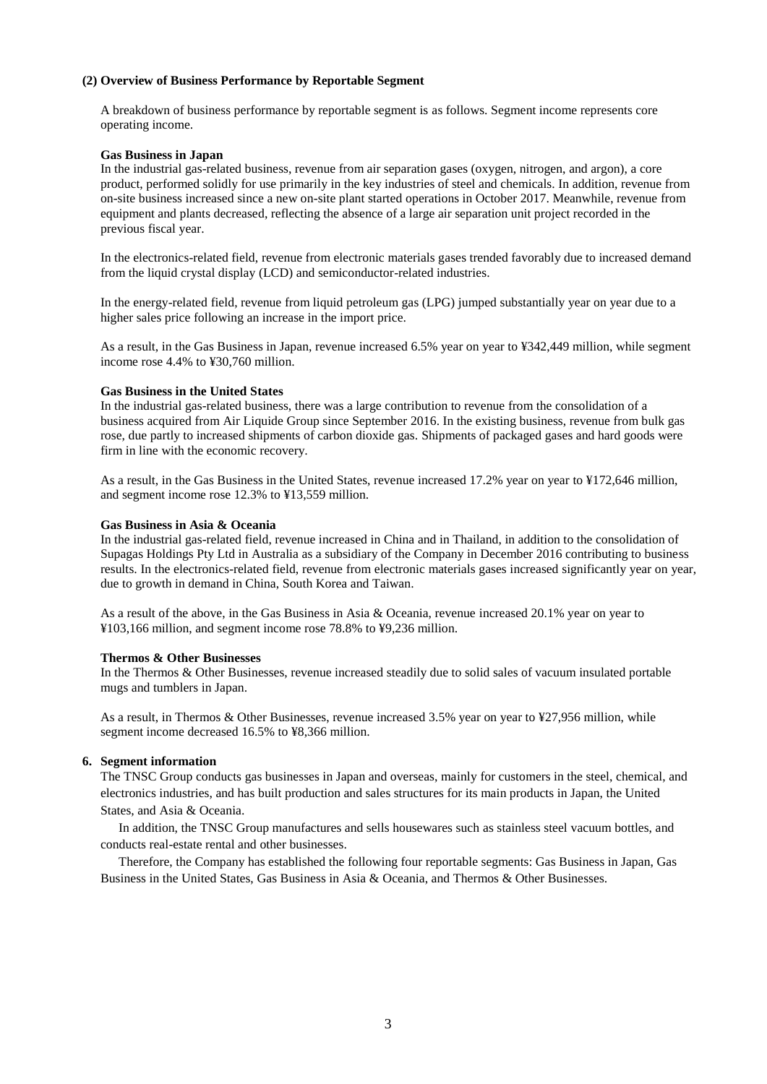#### **(2) Overview of Business Performance by Reportable Segment**

A breakdown of business performance by reportable segment is as follows. Segment income represents core operating income.

#### **Gas Business in Japan**

In the industrial gas-related business, revenue from air separation gases (oxygen, nitrogen, and argon), a core product, performed solidly for use primarily in the key industries of steel and chemicals. In addition, revenue from on-site business increased since a new on-site plant started operations in October 2017. Meanwhile, revenue from equipment and plants decreased, reflecting the absence of a large air separation unit project recorded in the previous fiscal year.

In the electronics-related field, revenue from electronic materials gases trended favorably due to increased demand from the liquid crystal display (LCD) and semiconductor-related industries.

In the energy-related field, revenue from liquid petroleum gas (LPG) jumped substantially year on year due to a higher sales price following an increase in the import price.

As a result, in the Gas Business in Japan, revenue increased 6.5% year on year to ¥342,449 million, while segment income rose 4.4% to ¥30,760 million.

#### **Gas Business in the United States**

In the industrial gas-related business, there was a large contribution to revenue from the consolidation of a business acquired from Air Liquide Group since September 2016. In the existing business, revenue from bulk gas rose, due partly to increased shipments of carbon dioxide gas. Shipments of packaged gases and hard goods were firm in line with the economic recovery.

As a result, in the Gas Business in the United States, revenue increased 17.2% year on year to ¥172,646 million, and segment income rose 12.3% to ¥13,559 million.

#### **Gas Business in Asia & Oceania**

In the industrial gas-related field, revenue increased in China and in Thailand, in addition to the consolidation of Supagas Holdings Pty Ltd in Australia as a subsidiary of the Company in December 2016 contributing to business results. In the electronics-related field, revenue from electronic materials gases increased significantly year on year, due to growth in demand in China, South Korea and Taiwan.

As a result of the above, in the Gas Business in Asia & Oceania, revenue increased 20.1% year on year to ¥103,166 million, and segment income rose 78.8% to ¥9,236 million.

#### **Thermos & Other Businesses**

In the Thermos & Other Businesses, revenue increased steadily due to solid sales of vacuum insulated portable mugs and tumblers in Japan.

As a result, in Thermos & Other Businesses, revenue increased 3.5% year on year to ¥27,956 million, while segment income decreased 16.5% to ¥8,366 million.

#### **6. Segment information**

The TNSC Group conducts gas businesses in Japan and overseas, mainly for customers in the steel, chemical, and electronics industries, and has built production and sales structures for its main products in Japan, the United States, and Asia & Oceania.

In addition, the TNSC Group manufactures and sells housewares such as stainless steel vacuum bottles, and conducts real-estate rental and other businesses.

Therefore, the Company has established the following four reportable segments: Gas Business in Japan, Gas Business in the United States, Gas Business in Asia & Oceania, and Thermos & Other Businesses.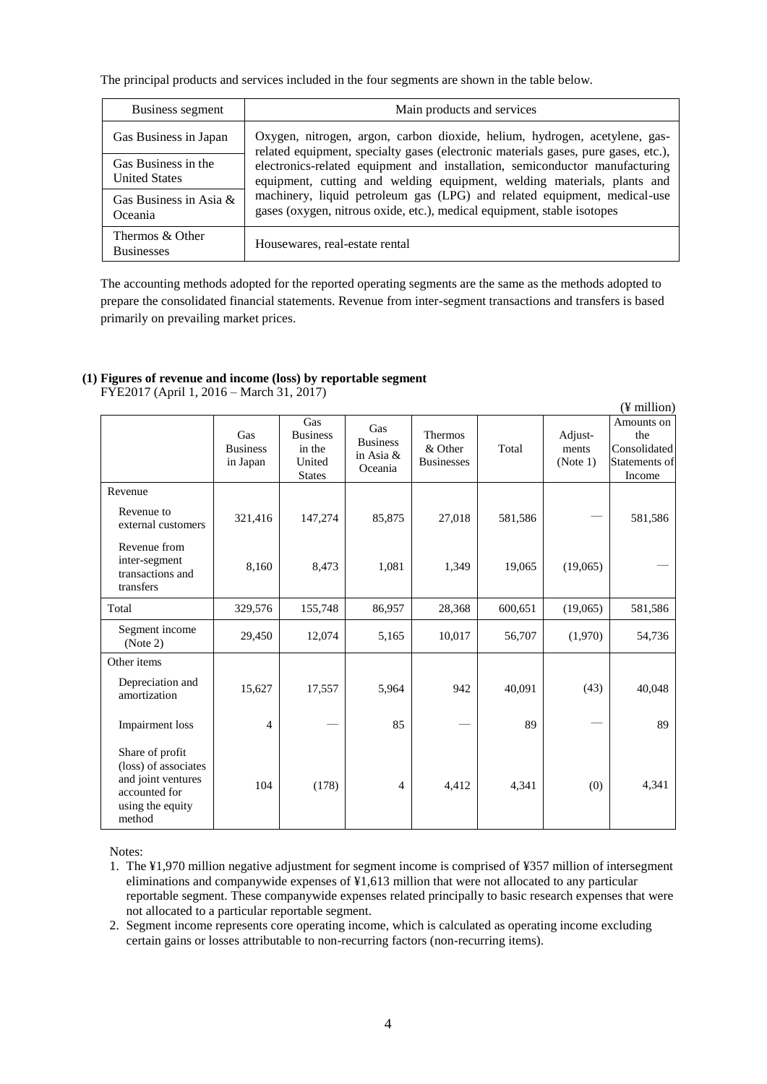The principal products and services included in the four segments are shown in the table below.

| Business segment                            | Main products and services                                                                                                                                       |  |  |  |  |
|---------------------------------------------|------------------------------------------------------------------------------------------------------------------------------------------------------------------|--|--|--|--|
| Gas Business in Japan                       | Oxygen, nitrogen, argon, carbon dioxide, helium, hydrogen, acetylene, gas-<br>related equipment, specialty gases (electronic materials gases, pure gases, etc.), |  |  |  |  |
| Gas Business in the<br><b>United States</b> | electronics-related equipment and installation, semiconductor manufacturing<br>equipment, cutting and welding equipment, welding materials, plants and           |  |  |  |  |
| Gas Business in Asia $\&$<br>Oceania        | machinery, liquid petroleum gas (LPG) and related equipment, medical-use<br>gases (oxygen, nitrous oxide, etc.), medical equipment, stable isotopes              |  |  |  |  |
| Thermos & Other<br><b>Businesses</b>        | Housewares, real-estate rental                                                                                                                                   |  |  |  |  |

The accounting methods adopted for the reported operating segments are the same as the methods adopted to prepare the consolidated financial statements. Revenue from inter-segment transactions and transfers is based primarily on prevailing market prices.

# **(1) Figures of revenue and income (loss) by reportable segment**

(¥ million) Gas Business in Japan Gas Business in the United States Gas Business in Asia & Oceania Thermos & Other Businesses Total Adjustments (Note 1) Amounts on the Consolidated Statements of Income Revenue Revenue to external customers 321,416 147,274 85,875 27,018 581,586 – 581,586 Revenue from inter-segment transactions and transfers  $8,160$   $8,473$   $1,081$   $1,349$   $19,065$   $(19,065)$  — Total 329,576 155,748 86,957 28,368 600,651 (19,065) 581,586 Segment income eginem income 29,450 12,074 5,165 10,017 56,707 (1,970) 54,736 Other items Depreciation and Deplectation and 15,627 17,557 5,964 942 40,091 (43) 40,048 Impairment loss  $\begin{vmatrix} 4 & -1 & 85 \\ - & 89 \end{vmatrix}$   $\begin{vmatrix} - & 89 \\ - & 89 \end{vmatrix}$   $\begin{vmatrix} - & 89 \\ - & 89 \end{vmatrix}$   $\begin{vmatrix} - & 89 \\ - & 89 \end{vmatrix}$   $\begin{vmatrix} - & 89 \\ - & 89 \end{vmatrix}$ Share of profit (loss) of associates and joint ventures accounted for using the equity method 104 (178) 4 4,412 4,341 (0) 4,341

FYE2017 (April 1, 2016 – March 31, 2017)

Notes:

- 1. The ¥1,970 million negative adjustment for segment income is comprised of ¥357 million of intersegment eliminations and companywide expenses of ¥1,613 million that were not allocated to any particular reportable segment. These companywide expenses related principally to basic research expenses that were not allocated to a particular reportable segment.
- 2. Segment income represents core operating income, which is calculated as operating income excluding certain gains or losses attributable to non-recurring factors (non-recurring items).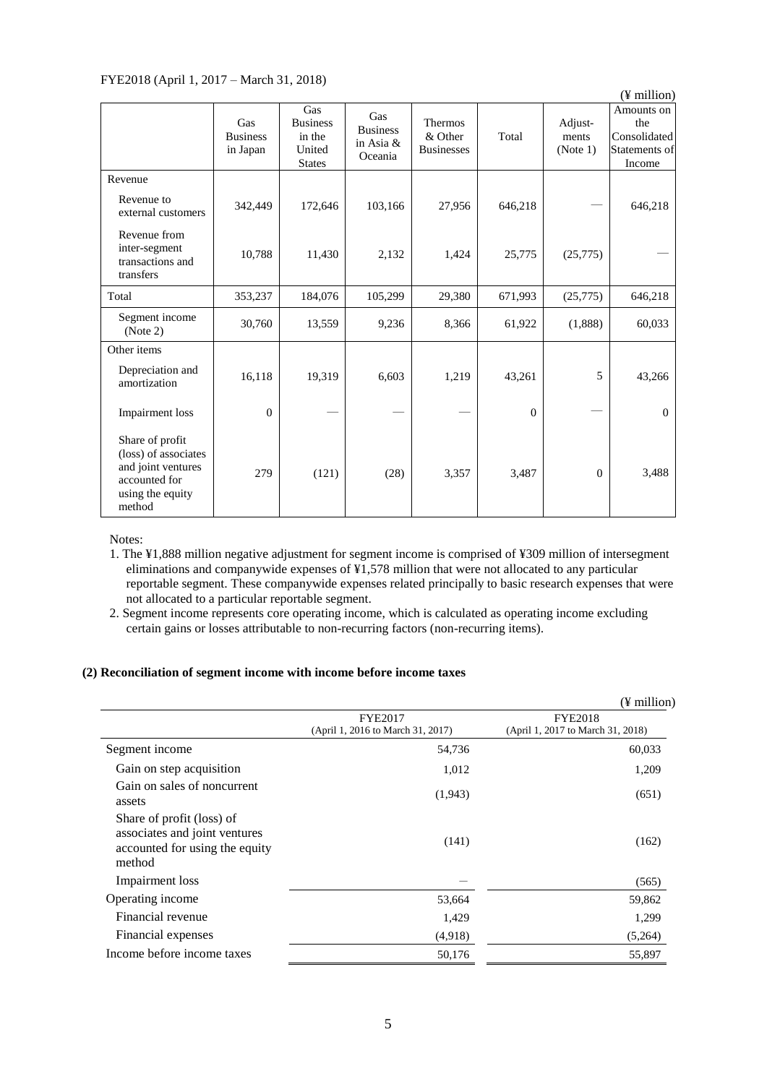# FYE2018 (April 1, 2017 – March 31, 2018)

| $1.22010$ (1 kpm 1, 201) $1.44001$ , 2010,                                                                   |                                    |                                                             |                                                |                                                |          |                              | $(\frac{y}{x})$ million)                                     |
|--------------------------------------------------------------------------------------------------------------|------------------------------------|-------------------------------------------------------------|------------------------------------------------|------------------------------------------------|----------|------------------------------|--------------------------------------------------------------|
|                                                                                                              | Gas<br><b>Business</b><br>in Japan | Gas<br><b>Business</b><br>in the<br>United<br><b>States</b> | Gas<br><b>Business</b><br>in Asia &<br>Oceania | <b>Thermos</b><br>& Other<br><b>Businesses</b> | Total    | Adjust-<br>ments<br>(Note 1) | Amounts on<br>the<br>Consolidated<br>Statements of<br>Income |
| Revenue                                                                                                      |                                    |                                                             |                                                |                                                |          |                              |                                                              |
| Revenue to<br>external customers                                                                             | 342,449                            | 172,646                                                     | 103,166                                        | 27,956                                         | 646,218  |                              | 646,218                                                      |
| Revenue from<br>inter-segment<br>transactions and<br>transfers                                               | 10,788                             | 11,430                                                      | 2,132                                          | 1,424                                          | 25,775   | (25,775)                     |                                                              |
| Total                                                                                                        | 353,237                            | 184,076                                                     | 105,299                                        | 29,380                                         | 671,993  | (25,775)                     | 646,218                                                      |
| Segment income<br>(Note 2)                                                                                   | 30,760                             | 13,559                                                      | 9,236                                          | 8,366                                          | 61,922   | (1,888)                      | 60,033                                                       |
| Other items                                                                                                  |                                    |                                                             |                                                |                                                |          |                              |                                                              |
| Depreciation and<br>amortization                                                                             | 16,118                             | 19,319                                                      | 6,603                                          | 1,219                                          | 43,261   | 5                            | 43,266                                                       |
| <b>Impairment</b> loss                                                                                       | $\Omega$                           |                                                             |                                                |                                                | $\theta$ |                              | $\Omega$                                                     |
| Share of profit<br>(loss) of associates<br>and joint ventures<br>accounted for<br>using the equity<br>method | 279                                | (121)                                                       | (28)                                           | 3,357                                          | 3,487    | $\theta$                     | 3,488                                                        |

Notes:

1. The ¥1,888 million negative adjustment for segment income is comprised of ¥309 million of intersegment eliminations and companywide expenses of ¥1,578 million that were not allocated to any particular reportable segment. These companywide expenses related principally to basic research expenses that were not allocated to a particular reportable segment.

2. Segment income represents core operating income, which is calculated as operating income excluding certain gains or losses attributable to non-recurring factors (non-recurring items).

## **(2) Reconciliation of segment income with income before income taxes**

|                                                                                                        |                                   | $(\frac{1}{2})$ million)          |
|--------------------------------------------------------------------------------------------------------|-----------------------------------|-----------------------------------|
|                                                                                                        | <b>FYE2017</b>                    | <b>FYE2018</b>                    |
|                                                                                                        | (April 1, 2016 to March 31, 2017) | (April 1, 2017 to March 31, 2018) |
| Segment income                                                                                         | 54,736                            | 60,033                            |
| Gain on step acquisition                                                                               | 1,012                             | 1,209                             |
| Gain on sales of noncurrent<br>assets                                                                  | (1,943)                           | (651)                             |
| Share of profit (loss) of<br>associates and joint ventures<br>accounted for using the equity<br>method | (141)                             | (162)                             |
| Impairment loss                                                                                        |                                   | (565)                             |
| Operating income                                                                                       | 53,664                            | 59,862                            |
| Financial revenue                                                                                      | 1,429                             | 1,299                             |
| Financial expenses                                                                                     | (4,918)                           | (5,264)                           |
| Income before income taxes                                                                             | 50,176                            | 55,897                            |